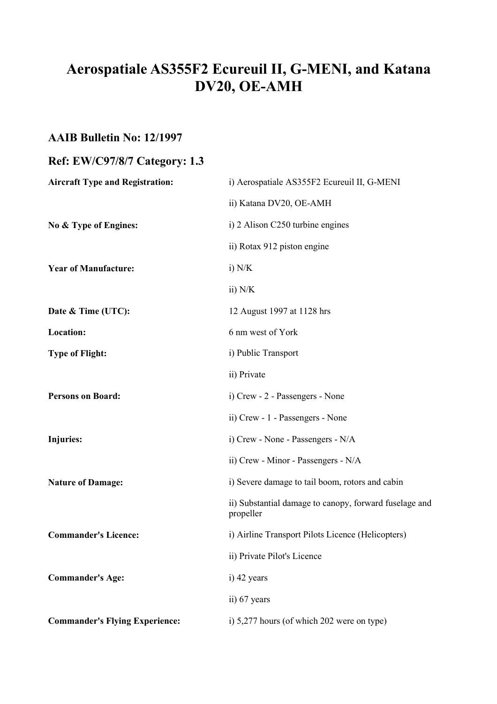# **Aerospatiale AS355F2 Ecureuil II, G-MENI, and Katana DV20, OE-AMH**

### **AAIB Bulletin No: 12/1997**

## **Ref: EW/C97/8/7 Category: 1.3**

| <b>Aircraft Type and Registration:</b> | i) Aerospatiale AS355F2 Ecureuil II, G-MENI                         |
|----------------------------------------|---------------------------------------------------------------------|
|                                        | ii) Katana DV20, OE-AMH                                             |
| No & Type of Engines:                  | i) 2 Alison C250 turbine engines                                    |
|                                        | ii) Rotax 912 piston engine                                         |
| <b>Year of Manufacture:</b>            | $i)$ N/K                                                            |
|                                        | ii) $N/K$                                                           |
| Date & Time (UTC):                     | 12 August 1997 at 1128 hrs                                          |
| <b>Location:</b>                       | 6 nm west of York                                                   |
| <b>Type of Flight:</b>                 | i) Public Transport                                                 |
|                                        | ii) Private                                                         |
| <b>Persons on Board:</b>               | i) Crew - 2 - Passengers - None                                     |
|                                        | ii) Crew - 1 - Passengers - None                                    |
| Injuries:                              | i) Crew - None - Passengers - N/A                                   |
|                                        | ii) Crew - Minor - Passengers - N/A                                 |
| <b>Nature of Damage:</b>               | i) Severe damage to tail boom, rotors and cabin                     |
|                                        | ii) Substantial damage to canopy, forward fuselage and<br>propeller |
| <b>Commander's Licence:</b>            | i) Airline Transport Pilots Licence (Helicopters)                   |
|                                        | ii) Private Pilot's Licence                                         |
| <b>Commander's Age:</b>                | i) 42 years                                                         |
|                                        | ii) 67 years                                                        |
| <b>Commander's Flying Experience:</b>  | i) 5,277 hours (of which 202 were on type)                          |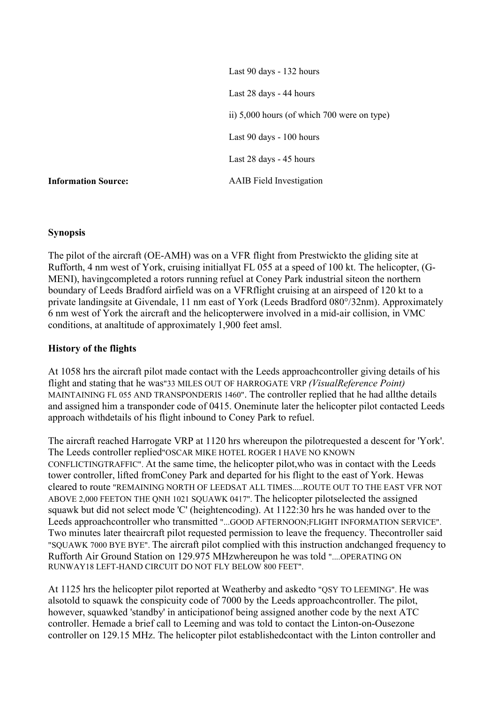Last 90 days - 132 hours Last 28 days - 44 hours ii) 5,000 hours (of which 700 were on type) Last 90 days - 100 hours Last 28 days - 45 hours **Information Source:** AAIB Field Investigation

#### **Synopsis**

The pilot of the aircraft (OE-AMH) was on a VFR flight from Prestwickto the gliding site at Rufforth, 4 nm west of York, cruising initiallyat FL 055 at a speed of 100 kt. The helicopter, (G-MENI), havingcompleted a rotors running refuel at Coney Park industrial siteon the northern boundary of Leeds Bradford airfield was on a VFRflight cruising at an airspeed of 120 kt to a private landingsite at Givendale, 11 nm east of York (Leeds Bradford 080°/32nm). Approximately 6 nm west of York the aircraft and the helicopterwere involved in a mid-air collision, in VMC conditions, at analtitude of approximately 1,900 feet amsl.

#### **History of the flights**

At 1058 hrs the aircraft pilot made contact with the Leeds approachcontroller giving details of his flight and stating that he was"33 MILES OUT OF HARROGATE VRP *(VisualReference Point)* MAINTAINING FL 055 AND TRANSPONDERIS 1460". The controller replied that he had allthe details and assigned him a transponder code of 0415. Oneminute later the helicopter pilot contacted Leeds approach withdetails of his flight inbound to Coney Park to refuel.

The aircraft reached Harrogate VRP at 1120 hrs whereupon the pilotrequested a descent for 'York'. The Leeds controller replied"OSCAR MIKE HOTEL ROGER I HAVE NO KNOWN CONFLICTINGTRAFFIC". At the same time, the helicopter pilot,who was in contact with the Leeds tower controller, lifted fromConey Park and departed for his flight to the east of York. Hewas cleared to route "REMAINING NORTH OF LEEDSAT ALL TIMES.....ROUTE OUT TO THE EAST VFR NOT ABOVE 2,000 FEETON THE QNH 1021 SQUAWK 0417". The helicopter pilotselected the assigned squawk but did not select mode 'C' (heightencoding). At 1122:30 hrs he was handed over to the Leeds approachcontroller who transmitted "...GOOD AFTERNOON;FLIGHT INFORMATION SERVICE". Two minutes later theaircraft pilot requested permission to leave the frequency. Thecontroller said "SQUAWK 7000 BYE BYE". The aircraft pilot complied with this instruction andchanged frequency to Rufforth Air Ground Station on 129.975 MHzwhereupon he was told "....OPERATING ON RUNWAY18 LEFT-HAND CIRCUIT DO NOT FLY BELOW 800 FEET".

At 1125 hrs the helicopter pilot reported at Weatherby and askedto "QSY TO LEEMING". He was alsotold to squawk the conspicuity code of 7000 by the Leeds approachcontroller. The pilot, however, squawked 'standby' in anticipationof being assigned another code by the next ATC controller. Hemade a brief call to Leeming and was told to contact the Linton-on-Ousezone controller on 129.15 MHz. The helicopter pilot establishedcontact with the Linton controller and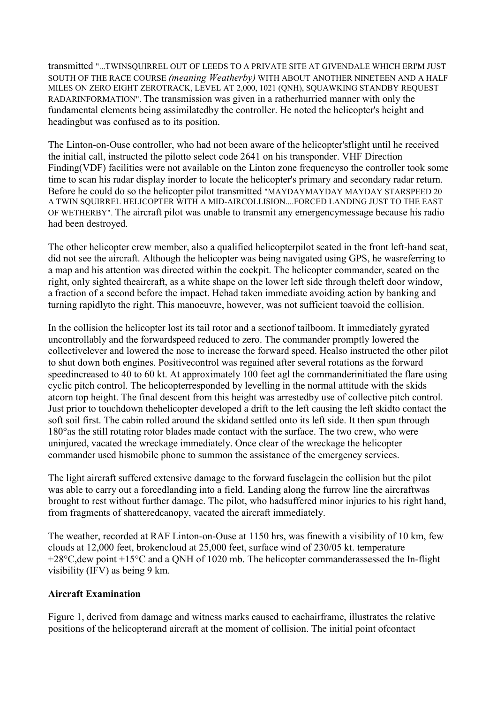transmitted "...TWINSQUIRREL OUT OF LEEDS TO A PRIVATE SITE AT GIVENDALE WHICH ERI'M JUST SOUTH OF THE RACE COURSE *(meaning Weatherby)* WITH ABOUT ANOTHER NINETEEN AND A HALF MILES ON ZERO EIGHT ZEROTRACK, LEVEL AT 2,000, 1021 (QNH), SQUAWKING STANDBY REQUEST RADARINFORMATION". The transmission was given in a ratherhurried manner with only the fundamental elements being assimilatedby the controller. He noted the helicopter's height and headingbut was confused as to its position.

The Linton-on-Ouse controller, who had not been aware of the helicopter'sflight until he received the initial call, instructed the pilotto select code 2641 on his transponder. VHF Direction Finding(VDF) facilities were not available on the Linton zone frequencyso the controller took some time to scan his radar display inorder to locate the helicopter's primary and secondary radar return. Before he could do so the helicopter pilot transmitted "MAYDAYMAYDAY MAYDAY STARSPEED 20 A TWIN SQUIRREL HELICOPTER WITH A MID-AIRCOLLISION....FORCED LANDING JUST TO THE EAST OF WETHERBY". The aircraft pilot was unable to transmit any emergencymessage because his radio had been destroyed.

The other helicopter crew member, also a qualified helicopterpilot seated in the front left-hand seat, did not see the aircraft. Although the helicopter was being navigated using GPS, he wasreferring to a map and his attention was directed within the cockpit. The helicopter commander, seated on the right, only sighted theaircraft, as a white shape on the lower left side through theleft door window, a fraction of a second before the impact. Hehad taken immediate avoiding action by banking and turning rapidlyto the right. This manoeuvre, however, was not sufficient toavoid the collision.

In the collision the helicopter lost its tail rotor and a sectionof tailboom. It immediately gyrated uncontrollably and the forwardspeed reduced to zero. The commander promptly lowered the collectivelever and lowered the nose to increase the forward speed. Healso instructed the other pilot to shut down both engines. Positivecontrol was regained after several rotations as the forward speedincreased to 40 to 60 kt. At approximately 100 feet agl the commanderinitiated the flare using cyclic pitch control. The helicopterresponded by levelling in the normal attitude with the skids atcorn top height. The final descent from this height was arrestedby use of collective pitch control. Just prior to touchdown thehelicopter developed a drift to the left causing the left skidto contact the soft soil first. The cabin rolled around the skidand settled onto its left side. It then spun through 180°as the still rotating rotor blades made contact with the surface. The two crew, who were uninjured, vacated the wreckage immediately. Once clear of the wreckage the helicopter commander used hismobile phone to summon the assistance of the emergency services.

The light aircraft suffered extensive damage to the forward fuselagein the collision but the pilot was able to carry out a forcedlanding into a field. Landing along the furrow line the aircraftwas brought to rest without further damage. The pilot, who hadsuffered minor injuries to his right hand, from fragments of shatteredcanopy, vacated the aircraft immediately.

The weather, recorded at RAF Linton-on-Ouse at 1150 hrs, was finewith a visibility of 10 km, few clouds at 12,000 feet, brokencloud at 25,000 feet, surface wind of 230/05 kt. temperature +28°C,dew point +15°C and a QNH of 1020 mb. The helicopter commanderassessed the In-flight visibility (IFV) as being 9 km.

#### **Aircraft Examination**

Figure 1, derived from damage and witness marks caused to eachairframe, illustrates the relative positions of the helicopterand aircraft at the moment of collision. The initial point ofcontact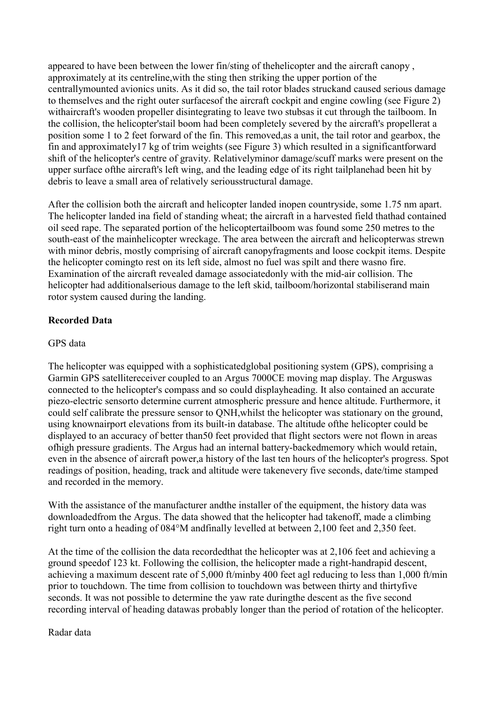appeared to have been between the lower fin/sting of thehelicopter and the aircraft canopy , approximately at its centreline,with the sting then striking the upper portion of the centrallymounted avionics units. As it did so, the tail rotor blades struckand caused serious damage to themselves and the right outer surfacesof the aircraft cockpit and engine cowling (see Figure 2) withaircraft's wooden propeller disintegrating to leave two stubsas it cut through the tailboom. In the collision, the helicopter'stail boom had been completely severed by the aircraft's propellerat a position some 1 to 2 feet forward of the fin. This removed,as a unit, the tail rotor and gearbox, the fin and approximately17 kg of trim weights (see Figure 3) which resulted in a significantforward shift of the helicopter's centre of gravity. Relativelyminor damage/scuff marks were present on the upper surface ofthe aircraft's left wing, and the leading edge of its right tailplanehad been hit by debris to leave a small area of relatively seriousstructural damage.

After the collision both the aircraft and helicopter landed inopen countryside, some 1.75 nm apart. The helicopter landed ina field of standing wheat; the aircraft in a harvested field thathad contained oil seed rape. The separated portion of the helicoptertailboom was found some 250 metres to the south-east of the mainhelicopter wreckage. The area between the aircraft and helicopterwas strewn with minor debris, mostly comprising of aircraft canopyfragments and loose cockpit items. Despite the helicopter comingto rest on its left side, almost no fuel was spilt and there wasno fire. Examination of the aircraft revealed damage associatedonly with the mid-air collision. The helicopter had additionalserious damage to the left skid, tailboom/horizontal stabiliserand main rotor system caused during the landing.

#### **Recorded Data**

#### GPS data

The helicopter was equipped with a sophisticatedglobal positioning system (GPS), comprising a Garmin GPS satellitereceiver coupled to an Argus 7000CE moving map display. The Arguswas connected to the helicopter's compass and so could displayheading. It also contained an accurate piezo-electric sensorto determine current atmospheric pressure and hence altitude. Furthermore, it could self calibrate the pressure sensor to QNH,whilst the helicopter was stationary on the ground, using knownairport elevations from its built-in database. The altitude ofthe helicopter could be displayed to an accuracy of better than50 feet provided that flight sectors were not flown in areas ofhigh pressure gradients. The Argus had an internal battery-backedmemory which would retain, even in the absence of aircraft power,a history of the last ten hours of the helicopter's progress. Spot readings of position, heading, track and altitude were takenevery five seconds, date/time stamped and recorded in the memory.

With the assistance of the manufacturer andthe installer of the equipment, the history data was downloadedfrom the Argus. The data showed that the helicopter had takenoff, made a climbing right turn onto a heading of 084°M andfinally levelled at between 2,100 feet and 2,350 feet.

At the time of the collision the data recordedthat the helicopter was at 2,106 feet and achieving a ground speedof 123 kt. Following the collision, the helicopter made a right-handrapid descent, achieving a maximum descent rate of 5,000 ft/minby 400 feet agl reducing to less than 1,000 ft/min prior to touchdown. The time from collision to touchdown was between thirty and thirtyfive seconds. It was not possible to determine the yaw rate duringthe descent as the five second recording interval of heading datawas probably longer than the period of rotation of the helicopter.

Radar data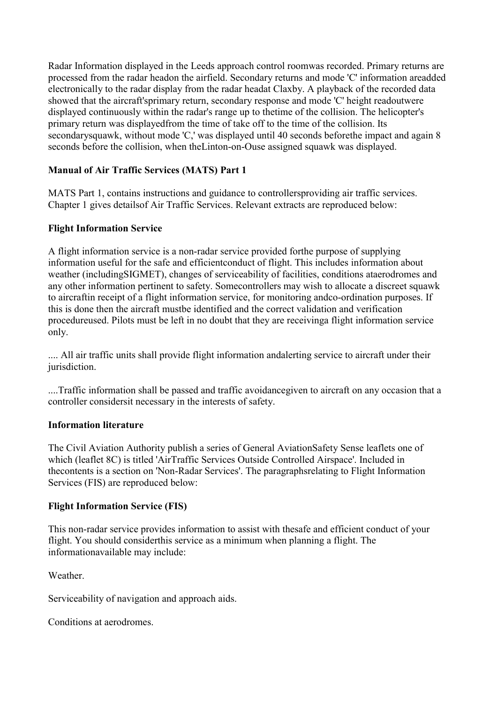Radar Information displayed in the Leeds approach control roomwas recorded. Primary returns are processed from the radar headon the airfield. Secondary returns and mode 'C' information areadded electronically to the radar display from the radar headat Claxby. A playback of the recorded data showed that the aircraft'sprimary return, secondary response and mode 'C' height readoutwere displayed continuously within the radar's range up to thetime of the collision. The helicopter's primary return was displayedfrom the time of take off to the time of the collision. Its secondarysquawk, without mode 'C,' was displayed until 40 seconds before the impact and again 8 seconds before the collision, when theLinton-on-Ouse assigned squawk was displayed.

#### **Manual of Air Traffic Services (MATS) Part 1**

MATS Part 1, contains instructions and guidance to controllersproviding air traffic services. Chapter 1 gives detailsof Air Traffic Services. Relevant extracts are reproduced below:

#### **Flight Information Service**

A flight information service is a non-radar service provided forthe purpose of supplying information useful for the safe and efficientconduct of flight. This includes information about weather (includingSIGMET), changes of serviceability of facilities, conditions ataerodromes and any other information pertinent to safety. Somecontrollers may wish to allocate a discreet squawk to aircraftin receipt of a flight information service, for monitoring andco-ordination purposes. If this is done then the aircraft mustbe identified and the correct validation and verification procedureused. Pilots must be left in no doubt that they are receivinga flight information service only.

.... All air traffic units shall provide flight information andalerting service to aircraft under their jurisdiction.

....Traffic information shall be passed and traffic avoidancegiven to aircraft on any occasion that a controller considersit necessary in the interests of safety.

#### **Information literature**

The Civil Aviation Authority publish a series of General AviationSafety Sense leaflets one of which (leaflet 8C) is titled 'AirTraffic Services Outside Controlled Airspace'. Included in thecontents is a section on 'Non-Radar Services'. The paragraphsrelating to Flight Information Services (FIS) are reproduced below:

#### **Flight Information Service (FIS)**

This non-radar service provides information to assist with thesafe and efficient conduct of your flight. You should considerthis service as a minimum when planning a flight. The informationavailable may include:

Weather

Serviceability of navigation and approach aids.

Conditions at aerodromes.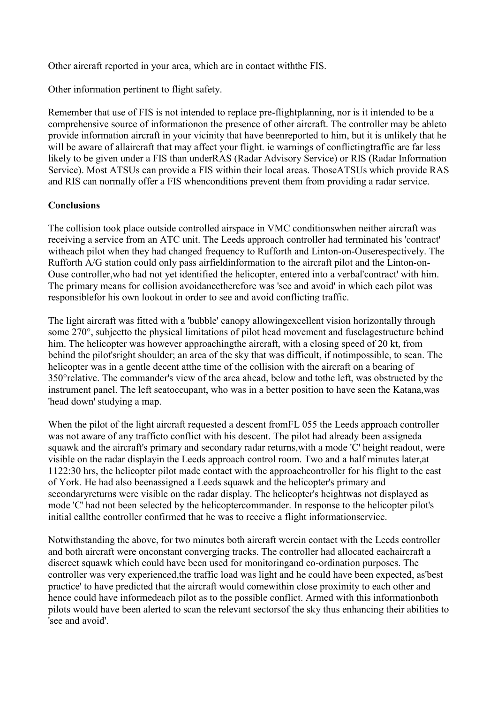Other aircraft reported in your area, which are in contact withthe FIS.

Other information pertinent to flight safety.

Remember that use of FIS is not intended to replace pre-flightplanning, nor is it intended to be a comprehensive source of informationon the presence of other aircraft. The controller may be ableto provide information aircraft in your vicinity that have beenreported to him, but it is unlikely that he will be aware of allaircraft that may affect your flight, ie warnings of conflictingtraffic are far less likely to be given under a FIS than underRAS (Radar Advisory Service) or RIS (Radar Information Service). Most ATSUs can provide a FIS within their local areas. ThoseATSUs which provide RAS and RIS can normally offer a FIS whenconditions prevent them from providing a radar service.

#### **Conclusions**

The collision took place outside controlled airspace in VMC conditionswhen neither aircraft was receiving a service from an ATC unit. The Leeds approach controller had terminated his 'contract' witheach pilot when they had changed frequency to Rufforth and Linton-on-Ouserespectively. The Rufforth A/G station could only pass airfieldinformation to the aircraft pilot and the Linton-on-Ouse controller,who had not yet identified the helicopter, entered into a verbal'contract' with him. The primary means for collision avoidancetherefore was 'see and avoid' in which each pilot was responsiblefor his own lookout in order to see and avoid conflicting traffic.

The light aircraft was fitted with a 'bubble' canopy allowingexcellent vision horizontally through some 270°, subjectto the physical limitations of pilot head movement and fuselagestructure behind him. The helicopter was however approachingthe aircraft, with a closing speed of 20 kt, from behind the pilot'sright shoulder; an area of the sky that was difficult, if notimpossible, to scan. The helicopter was in a gentle decent atthe time of the collision with the aircraft on a bearing of 350°relative. The commander's view of the area ahead, below and tothe left, was obstructed by the instrument panel. The left seatoccupant, who was in a better position to have seen the Katana,was 'head down' studying a map.

When the pilot of the light aircraft requested a descent from FL 055 the Leeds approach controller was not aware of any trafficto conflict with his descent. The pilot had already been assigneda squawk and the aircraft's primary and secondary radar returns,with a mode 'C' height readout, were visible on the radar displayin the Leeds approach control room. Two and a half minutes later,at 1122:30 hrs, the helicopter pilot made contact with the approachcontroller for his flight to the east of York. He had also beenassigned a Leeds squawk and the helicopter's primary and secondaryreturns were visible on the radar display. The helicopter's heightwas not displayed as mode 'C' had not been selected by the helicoptercommander. In response to the helicopter pilot's initial callthe controller confirmed that he was to receive a flight informationservice.

Notwithstanding the above, for two minutes both aircraft werein contact with the Leeds controller and both aircraft were onconstant converging tracks. The controller had allocated eachaircraft a discreet squawk which could have been used for monitoringand co-ordination purposes. The controller was very experienced,the traffic load was light and he could have been expected, as'best practice' to have predicted that the aircraft would comewithin close proximity to each other and hence could have informedeach pilot as to the possible conflict. Armed with this informationboth pilots would have been alerted to scan the relevant sectorsof the sky thus enhancing their abilities to 'see and avoid'.